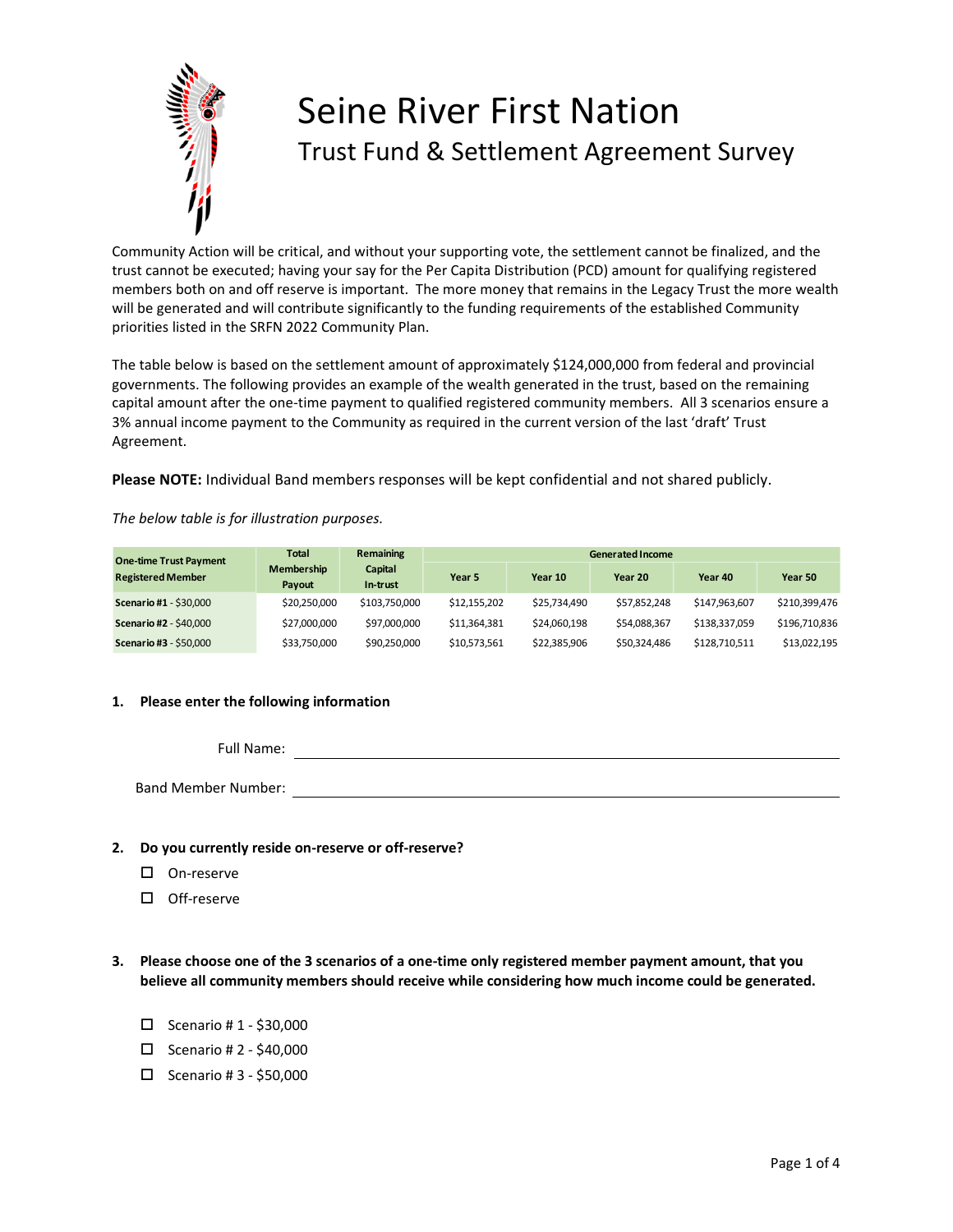

# Seine River First Nation Trust Fund & Settlement Agreement Survey

Community Action will be critical, and without your supporting vote, the settlement cannot be finalized, and the trust cannot be executed; having your say for the Per Capita Distribution (PCD) amount for qualifying registered members both on and off reserve is important. The more money that remains in the Legacy Trust the more wealth will be generated and will contribute significantly to the funding requirements of the established Community priorities listed in the SRFN 2022 Community Plan.

The table below is based on the settlement amount of approximately \$124,000,000 from federal and provincial governments. The following provides an example of the wealth generated in the trust, based on the remaining capital amount after the one-time payment to qualified registered community members. All 3 scenarios ensure a 3% annual income payment to the Community as required in the current version of the last 'draft' Trust Agreement.

**Please NOTE:** Individual Band members responses will be kept confidential and not shared publicly.

*The below table is for illustration purposes.*

| <b>One-time Trust Payment</b><br><b>Registered Member</b> | <b>Total</b>                | <b>Remaining</b>    | <b>Generated Income</b> |              |              |               |               |
|-----------------------------------------------------------|-----------------------------|---------------------|-------------------------|--------------|--------------|---------------|---------------|
|                                                           | <b>Membership</b><br>Payout | Capital<br>In-trust | Year 5                  | Year 10      | Year 20      | Year 40       | Year 50       |
| <b>Scenario #1 - \$30,000</b>                             | \$20,250,000                | \$103.750.000       | \$12.155.202            | \$25.734.490 | \$57,852,248 | \$147.963.607 | \$210,399,476 |
| <b>Scenario #2 - \$40,000</b>                             | \$27,000,000                | \$97,000,000        | \$11.364.381            | \$24.060.198 | \$54.088.367 | \$138,337,059 | \$196.710.836 |
| <b>Scenario #3 - \$50,000</b>                             | \$33,750,000                | \$90,250,000        | \$10,573,561            | \$22,385,906 | \$50,324,486 | \$128.710.511 | \$13,022,195  |

### **1. Please enter the following information**

Full Name: Band Member Number:

### **2. Do you currently reside on-reserve or off-reserve?**

- □ On-reserve
- □ Off-reserve
- **3. Please choose one of the 3 scenarios of a one-time only registered member payment amount, that you believe all community members should receive while considering how much income could be generated.**
	- $\square$  Scenario # 1 \$30,000
	- $\Box$  Scenario # 2 \$40,000
	- $\Box$  Scenario # 3 \$50,000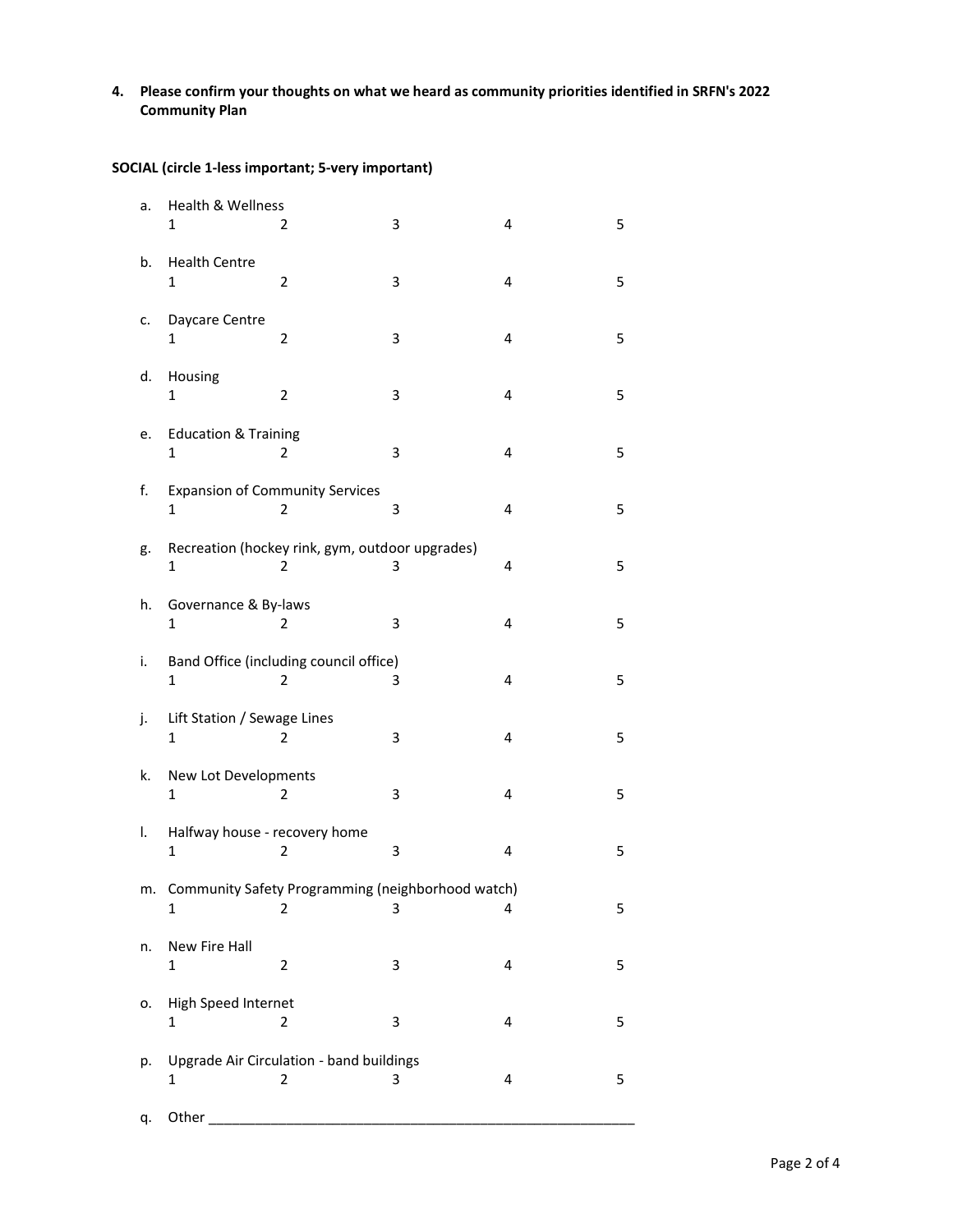## **4. Please confirm your thoughts on what we heard as community priorities identified in SRFN's 2022 Community Plan**

**SOCIAL (circle 1-less important; 5-very important)**

| a. | Health & Wellness<br>1                        | 2                                                        | 3 | 4 | 5 |
|----|-----------------------------------------------|----------------------------------------------------------|---|---|---|
| b. | <b>Health Centre</b><br>1                     | 2                                                        | 3 | 4 | 5 |
| c. | Daycare Centre<br>1                           | 2                                                        | 3 | 4 | 5 |
| d. | Housing<br>1                                  | $\overline{2}$                                           | 3 | 4 | 5 |
| e. | <b>Education &amp; Training</b><br>1          | 2                                                        | 3 | 4 | 5 |
| f. | $\mathbf{1}$                                  | <b>Expansion of Community Services</b><br>2              | 3 | 4 | 5 |
| g. | 1                                             | Recreation (hockey rink, gym, outdoor upgrades)<br>2     | 3 | 4 | 5 |
| h. | Governance & By-laws<br>1                     | 2                                                        | 3 | 4 | 5 |
| i. | $\mathbf{1}$                                  | Band Office (including council office)<br>$\overline{2}$ | 3 | 4 | 5 |
| j. | Lift Station / Sewage Lines<br>$\mathbf{1}$   | $\overline{2}$                                           | 3 | 4 | 5 |
| k. | New Lot Developments<br>1                     | 2                                                        | 3 | 4 | 5 |
| I. | Halfway house - recovery home<br>$\mathbf{1}$ | 2                                                        | 3 | 4 | 5 |
| m. | $\mathbf{1}$                                  | Community Safety Programming (neighborhood watch)<br>2   | 3 | 4 | 5 |
| n. | New Fire Hall<br>1                            | 2                                                        | 3 | 4 | 5 |
| о. | High Speed Internet<br>$\mathbf{1}$           | $\overline{2}$                                           | 3 | 4 | 5 |
| p. | 1                                             | Upgrade Air Circulation - band buildings<br>2            | 3 | 4 | 5 |
| q. | Other                                         |                                                          |   |   |   |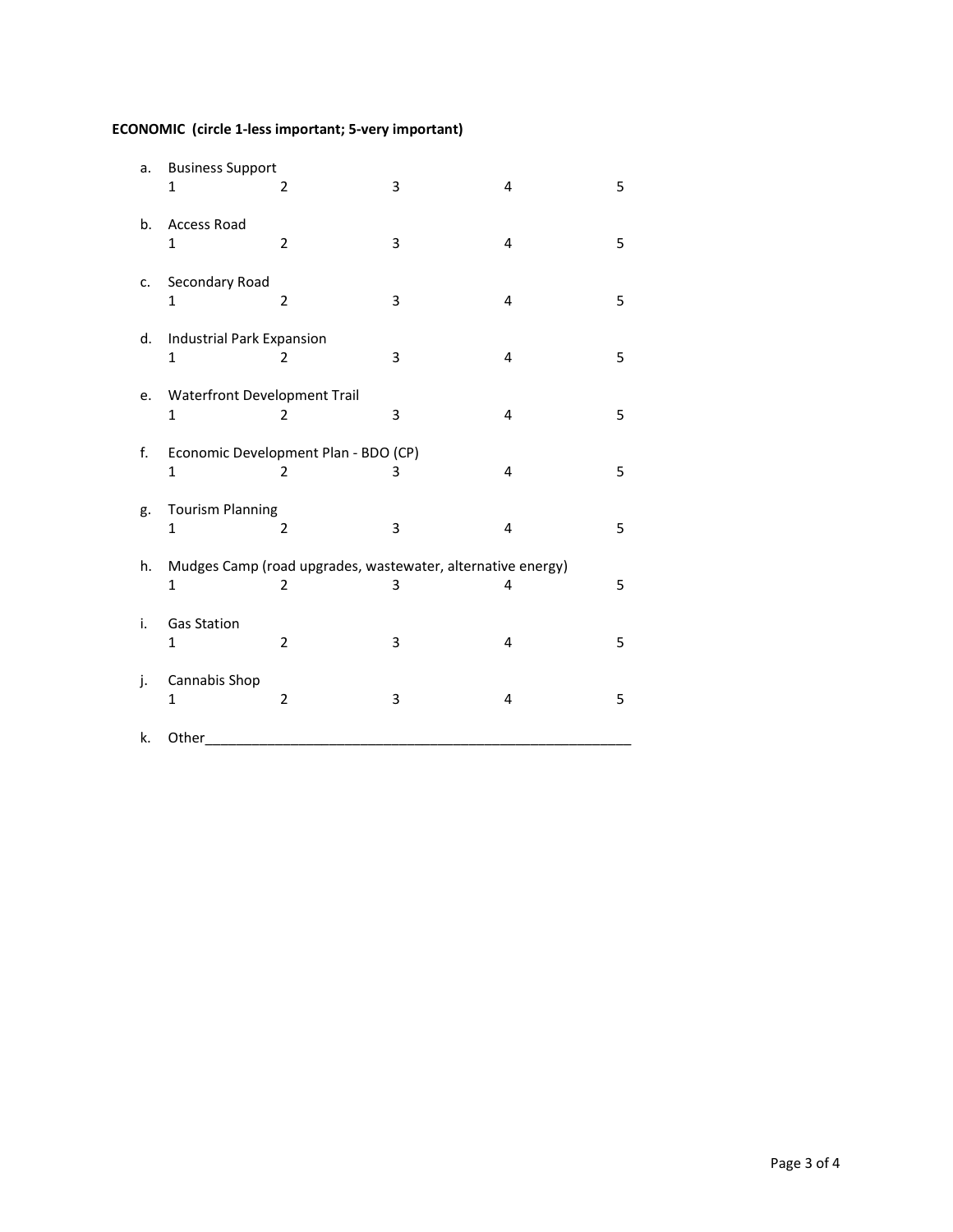## **ECONOMIC (circle 1-less important; 5-very important)**

| a. | <b>Business Support</b><br>1                 | $\overline{\mathbf{c}}$                                          | 3 | 4 | 5 |
|----|----------------------------------------------|------------------------------------------------------------------|---|---|---|
| b. | <b>Access Road</b><br>1                      | $\overline{2}$                                                   | 3 | 4 | 5 |
| c. | Secondary Road<br>$\mathbf{1}$               | $\overline{2}$                                                   | 3 | 4 | 5 |
| d. | Industrial Park Expansion<br>$\mathbf{1}$    | $\overline{2}$                                                   | 3 | 4 | 5 |
| e. | Waterfront Development Trail<br>$\mathbf{1}$ | 2                                                                | 3 | 4 | 5 |
| f. | $\mathbf{1}$                                 | Economic Development Plan - BDO (CP)<br>2                        | 3 | 4 | 5 |
| g. | <b>Tourism Planning</b><br>1                 | 2                                                                | 3 | 4 | 5 |
| h. | $\mathbf{1}$                                 | Mudges Camp (road upgrades, wastewater, alternative energy)<br>2 | 3 | 4 | 5 |
| i. | <b>Gas Station</b><br>1                      | $\overline{2}$                                                   | 3 | 4 | 5 |
| j. | Cannabis Shop<br>$\mathbf{1}$                | $\overline{2}$                                                   | 3 | 4 | 5 |
| k. | Other                                        |                                                                  |   |   |   |

Page 3 of 4